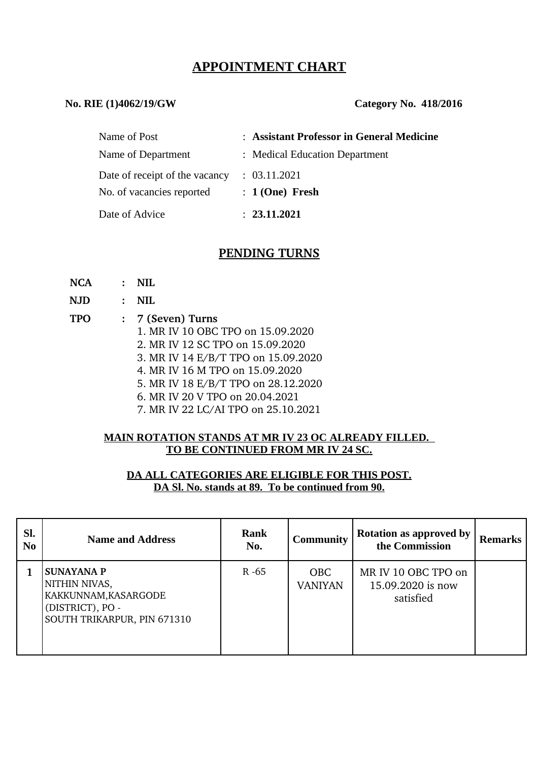# **APPOINTMENT CHART**

#### **No. RIE (1)4062/19/GW Category No. 418/2016**

| Name of Post                   | : Assistant Professor in General Medicine |
|--------------------------------|-------------------------------------------|
| Name of Department             | : Medical Education Department            |
| Date of receipt of the vacancy | : 03.11.2021                              |
| No. of vacancies reported      | $: 1(One)$ Fresh                          |
| Date of Advice                 | : 23.11.2021                              |

## **PENDING TURNS**

| <b>NCA</b> | $\mathbf{r}$   | NII.                                |
|------------|----------------|-------------------------------------|
| <b>NJD</b> | $\ddot{\cdot}$ | NH.                                 |
| <b>TPO</b> |                | : 7 (Seven) Turns                   |
|            |                | 1. MR IV 10 OBC TPO on 15.09.2020   |
|            |                | 2. MR IV 12 SC TPO on 15.09.2020    |
|            |                | 3. MR IV 14 E/B/T TPO on 15.09.2020 |
|            |                | 4. MR IV 16 M TPO on 15.09.2020     |
|            |                | 5. MR IV 18 E/B/T TPO on 28.12.2020 |
|            |                | 6. MR IV 20 V TPO on 20.04.2021     |
|            |                | 7. MR IV 22 LC/AI TPO on 25.10.2021 |

#### **MAIN ROTATION STANDS AT MR IV 23 OC ALREADY FILLED. TO BE CONTINUED FROM MR IV 24 SC.**

### **DA ALL CATEGORIES ARE ELIGIBLE FOR THIS POST. DA Sl. No. stands at 89. To be continued from 90.**

| SI.<br>No | <b>Name and Address</b>                                                                                       | <b>Rank</b><br>No. | <b>Community</b>             | <b>Rotation as approved by</b><br>the Commission      | <b>Remarks</b> |
|-----------|---------------------------------------------------------------------------------------------------------------|--------------------|------------------------------|-------------------------------------------------------|----------------|
|           | <b>SUNAYANA P</b><br>NITHIN NIVAS,<br>KAKKUNNAM, KASARGODE<br>(DISTRICT), PO -<br>SOUTH TRIKARPUR, PIN 671310 | $R - 65$           | <b>OBC</b><br><b>VANIYAN</b> | MR IV 10 OBC TPO on<br>15.09.2020 is now<br>satisfied |                |